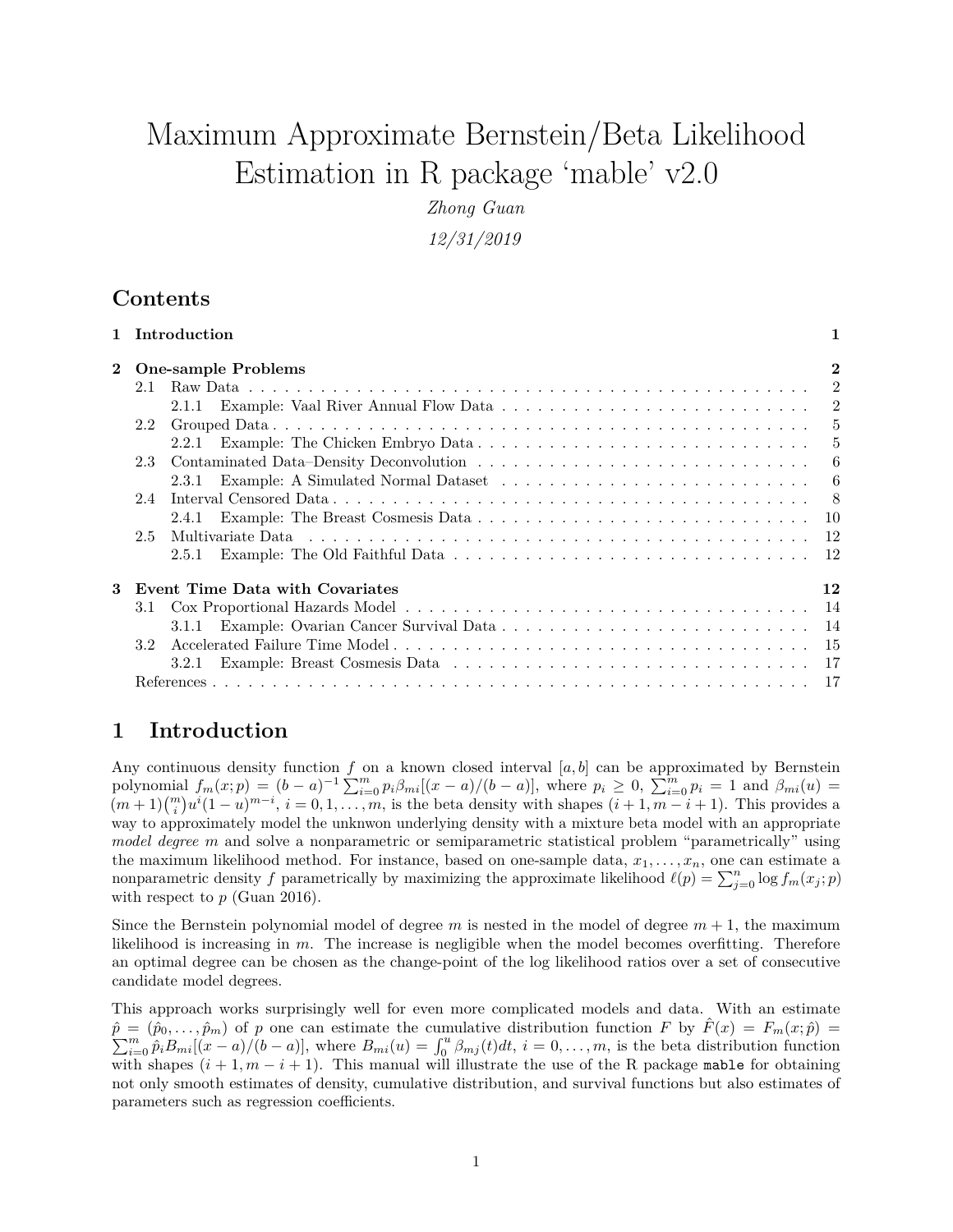# Maximum Approximate Bernstein/Beta Likelihood Estimation in R package 'mable' v2.0

*Zhong Guan*

*12/31/2019*

# **Contents**

|          |                            | 1 Introduction                  | 1    |
|----------|----------------------------|---------------------------------|------|
| $\bf{2}$ | <b>One-sample Problems</b> |                                 |      |
|          | 2.1                        |                                 |      |
|          |                            |                                 |      |
|          | $2.2^{\circ}$              |                                 |      |
|          |                            |                                 |      |
|          | 2.3                        |                                 | -6   |
|          |                            |                                 | -6   |
|          | 2.4                        |                                 | - 8  |
|          |                            | 2.4.1                           |      |
|          | $2.5^{\circ}$              |                                 | - 12 |
|          |                            | 2.5.1                           |      |
| 3        |                            | Event Time Data with Covariates | 12   |
|          | 3.1                        |                                 |      |
|          |                            |                                 |      |
|          | 3.2                        |                                 |      |
|          |                            | 3.2.1                           |      |
|          |                            |                                 |      |
|          |                            |                                 |      |

# <span id="page-0-0"></span>**1 Introduction**

Any continuous density function *f* on a known closed interval [*a, b*] can be approximated by Bernstein polynomial  $f_m(x;p) = (b-a)^{-1} \sum_{i=0}^{m} p_i \beta_{mi} [(x-a)/(b-a)],$  where  $p_i \ge 0$ ,  $\sum_{i=0}^{m} p_i = 1$  and  $\beta_{mi}(u) =$  $(m+1)\binom{m}{i}u^{i}(1-u)^{m-i}, i=0,1,\ldots,m$ , is the beta density with shapes  $(i+1,m-i+1)$ . This provides a way to approximately model the unknwon underlying density with a mixture beta model with an appropriate *model degree m* and solve a nonparametric or semiparametric statistical problem "parametrically" using the maximum likelihood method. For instance, based on one-sample data,  $x_1, \ldots, x_n$ , one can estimate a nonparametric density *f* parametrically by maximizing the approximate likelihood  $\ell(p) = \sum_{j=0}^{n} \log f_m(x_j; p)$ with respect to  $p$  (Guan [2016\)](#page-16-2).

Since the Bernstein polynomial model of degree  $m$  is nested in the model of degree  $m + 1$ , the maximum likelihood is increasing in *m*. The increase is negligible when the model becomes overfitting. Therefore an optimal degree can be chosen as the change-point of the log likelihood ratios over a set of consecutive candidate model degrees.

This approach works surprisingly well for even more complicated models and data. With an estimate  $\hat{p} = (\hat{p}_0, \ldots, \hat{p}_m)$  of *p* one can estimate the cumulative distribution function *F* by  $\hat{F}(x) = F_m(x; \hat{p}) =$  $\sum_{i=0}^{m} \hat{p}_i B_{mi}[(x-a)/(b-a)],$  where  $B_{mi}(u) = \int_0^u \beta_{mj}(t) dt$ ,  $i = 0, \ldots, m$ , is the beta distribution function with shapes  $(i + 1, m - i + 1)$ . This manual will illustrate the use of the R package mable for obtaining not only smooth estimates of density, cumulative distribution, and survival functions but also estimates of parameters such as regression coefficients.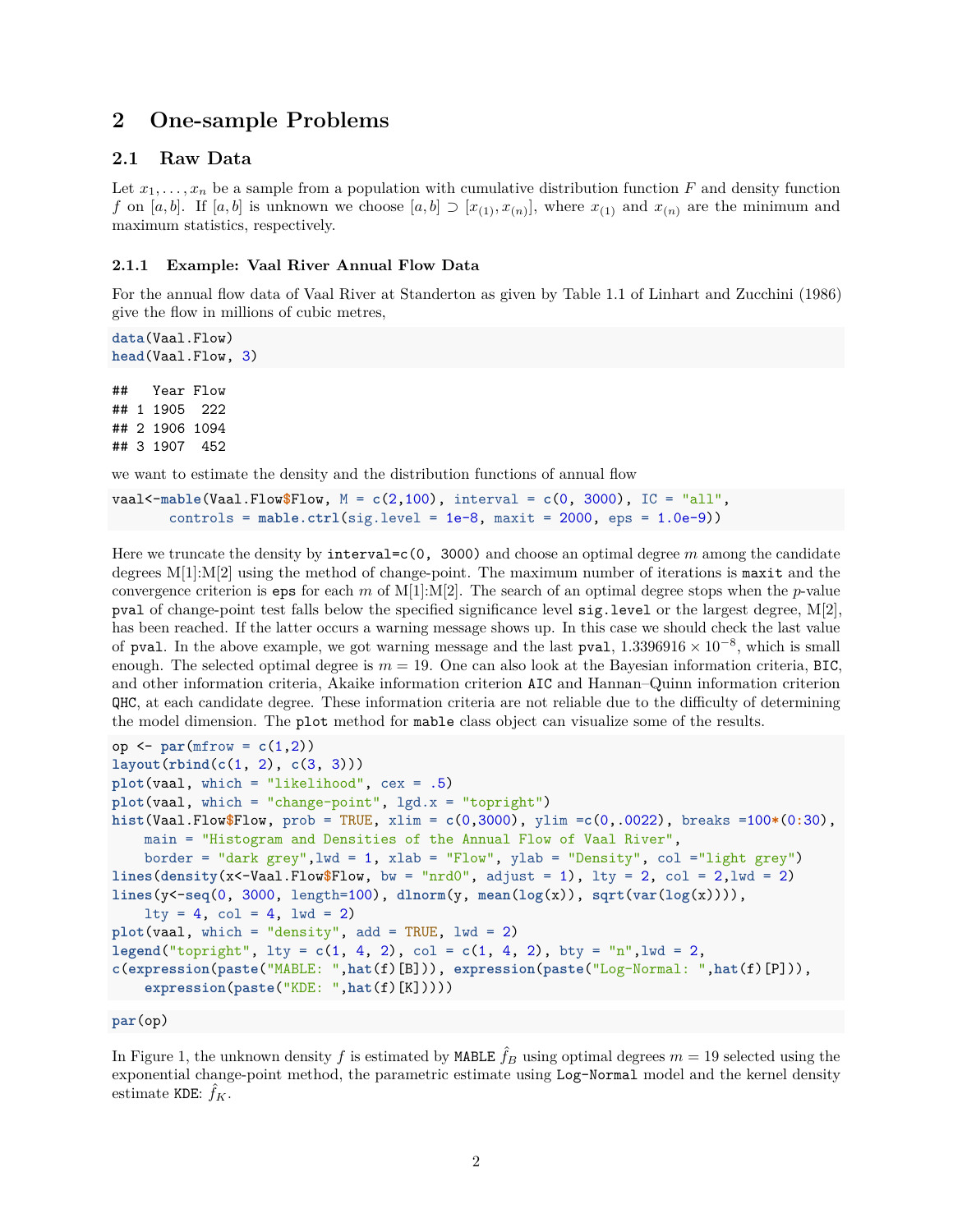# <span id="page-1-0"></span>**2 One-sample Problems**

# <span id="page-1-1"></span>**2.1 Raw Data**

Let  $x_1, \ldots, x_n$  be a sample from a population with cumulative distribution function *F* and density function *f* on [*a, b*]. If [*a, b*] is unknown we choose [*a, b*]  $\supset$  [ $x_{(1)}$ ,  $x_{(n)}$ ], where  $x_{(1)}$  and  $x_{(n)}$  are the minimum and maximum statistics, respectively.

## <span id="page-1-2"></span>**2.1.1 Example: Vaal River Annual Flow Data**

For the annual flow data of Vaal River at Standerton as given by Table 1.1 of Linhart and Zucchini [\(1986\)](#page-17-0) give the flow in millions of cubic metres,

**data**(Vaal.Flow) **head**(Vaal.Flow, 3)

## Year Flow ## 1 1905 222 ## 2 1906 1094 ## 3 1907 452

we want to estimate the density and the distribution functions of annual flow

```
vaal<-mable(Vaal.Flow$Flow, M = c(2,100), interval = c(0, 3000), IC = "all",
       controls = mable.ctrl(sig.level = 1e-8, maxit = 2000, eps = 1.0e-9))
```
Here we truncate the density by interval=c(0, 3000) and choose an optimal degree *m* among the candidate degrees M[1]:M[2] using the method of change-point. The maximum number of iterations is maxit and the convergence criterion is eps for each *m* of M[1]:M[2]. The search of an optimal degree stops when the *p*-value pval of change-point test falls below the specified significance level sig.level or the largest degree, M[2], has been reached. If the latter occurs a warning message shows up. In this case we should check the last value of pval. In the above example, we got warning message and the last pval,  $1.3396916 \times 10^{-8}$ , which is small enough. The selected optimal degree is  $m = 19$ . One can also look at the Bayesian information criteria, BIC, and other information criteria, Akaike information criterion AIC and Hannan–Quinn information criterion QHC, at each candidate degree. These information criteria are not reliable due to the difficulty of determining the model dimension. The plot method for mable class object can visualize some of the results.

```
op <- par(mfrow = c(1,2))
layout(rbind(c(1, 2), c(3, 3)))
plot(vaal, which = "likelihood", cex = .5)
plot(vaal, which = "change-point", lgd.x = "topright")
hist(Vaal.Flow$Flow, prob = TRUE, xlim = c(0,3000), ylim =c(0,.0022), breaks =100*(0:30),
   main = "Histogram and Densities of the Annual Flow of Vaal River",
   border = "dark grey", lwd = 1, xlab = "Flow", ylab = "Density", col = "light grey")lines(density(x<-Vaal.Flow$Flow, bw = "nrd0", adjust = 1), lty = 2, col = 2, lwd = 2)lines(y<-seq(0, 3000, length=100), dlnorm(y, mean(log(x)), sqrt(var(log(x)))),
    lty = 4, col = 4, lwd = 2plot(vaal, which = "density", add = TRUE, lwd = 2)
legend("topright", lty = c(1, 4, 2), col = c(1, 4, 2), bty = "n", lwd = 2,
c(expression(paste("MABLE: ",hat(f)[B])), expression(paste("Log-Normal: ",hat(f)[P])),
    expression(paste("KDE: ",hat(f)[K]))))
```
**par**(op)

In Figure [1,](#page-2-0) the unknown density f is estimated by MABLE  $\hat{f}_B$  using optimal degrees  $m = 19$  selected using the exponential change-point method, the parametric estimate using Log-Normal model and the kernel density estimate KDE:  $\hat{f}_K$ .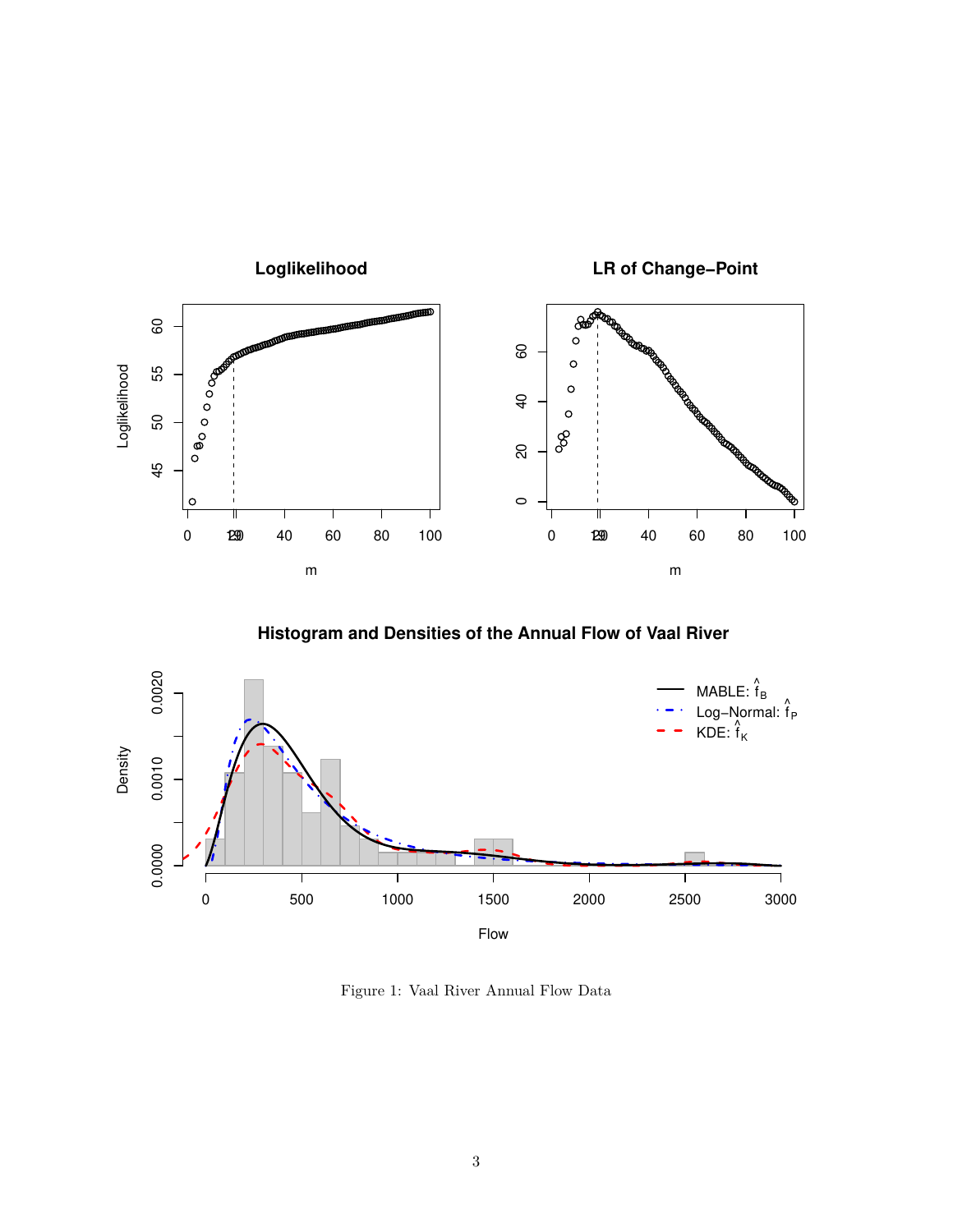

**Histogram and Densities of the Annual Flow of Vaal River**



<span id="page-2-0"></span>Figure 1: Vaal River Annual Flow Data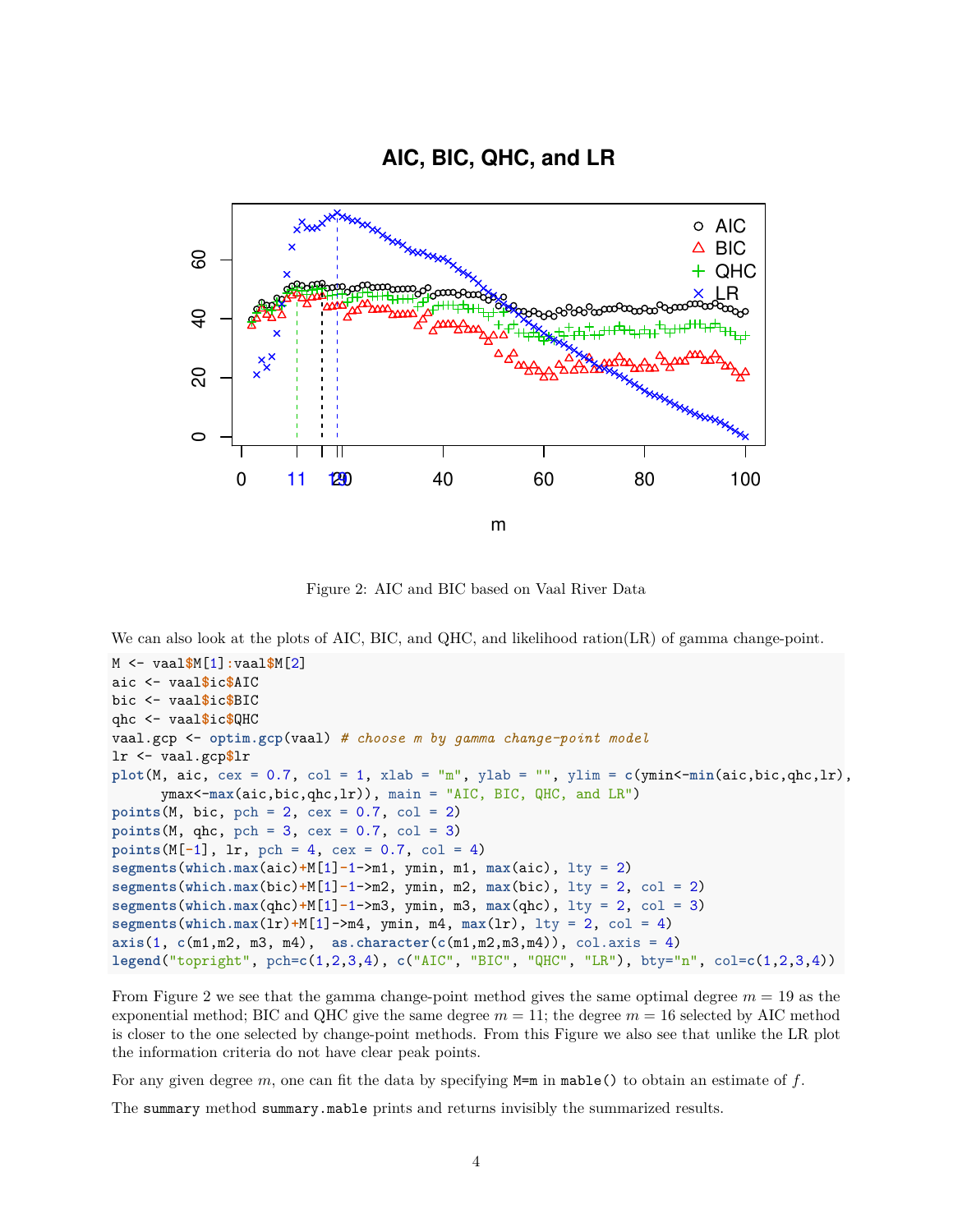# **AIC, BIC, QHC, and LR**



<span id="page-3-0"></span>Figure 2: AIC and BIC based on Vaal River Data

We can also look at the plots of AIC, BIC, and QHC, and likelihood ration(LR) of gamma change-point.

```
M <- vaal$M[1]:vaal$M[2]
aic <- vaal$ic$AIC
bic <- vaal$ic$BIC
qhc <- vaal$ic$QHC
vaal.gcp <- optim.gcp(vaal) # choose m by gamma change-point model
lr <- vaal.gcp$lr
plot(M, \text{aic}, \text{cex} = 0.7, \text{col} = 1, \text{xlab} = "m", \text{ylab} = "", \text{ylim} = c(\text{ymin}\text{-min}(\text{aic}, \text{bic}, \text{qhc}, \text{lr}),ymax<-max(aic,bic,qhc,lr)), main = "AIC, BIC, QHC, and LR")
points(M, bic, pch = 2, cex = 0.7, col = 2)points(M, qhc, pch = 3, cex = 0.7, col = 3)points(M[-1], 1r, pch = 4, cex = 0.7, col = 4)segments(which.max(aic)+M[1]-1->m1, ymin, m1, max(aic), lty = 2)
segments(which.max(bic)+M[1]-1->m2, ymin, m2, max(bic), lty = 2, col = 2)
segments(which.max(qhc)+M[1]-1->m3, ymin, m3, max(qhc), lty = 2, col = 3)
segments(which.max(lr)+M[1]->m4, ymin, m4, max(lr), lty = 2, col = 4)
axis(1, c(m1,m2, m3, m4), as.character(c(m1,m2,m3,m4)), col.axis = 4)
legend("topright", pch=c(1,2,3,4), c("AIC", "BIC", "QHC", "LR"), bty="n", col=c(1,2,3,4))
```
From Figure [2](#page-3-0) we see that the gamma change-point method gives the same optimal degree  $m = 19$  as the exponential method; BIC and QHC give the same degree  $m = 11$ ; the degree  $m = 16$  selected by AIC method is closer to the one selected by change-point methods. From this Figure we also see that unlike the LR plot the information criteria do not have clear peak points.

For any given degree *m*, one can fit the data by specifying M=m in mable() to obtain an estimate of *f*.

The summary method summary.mable prints and returns invisibly the summarized results.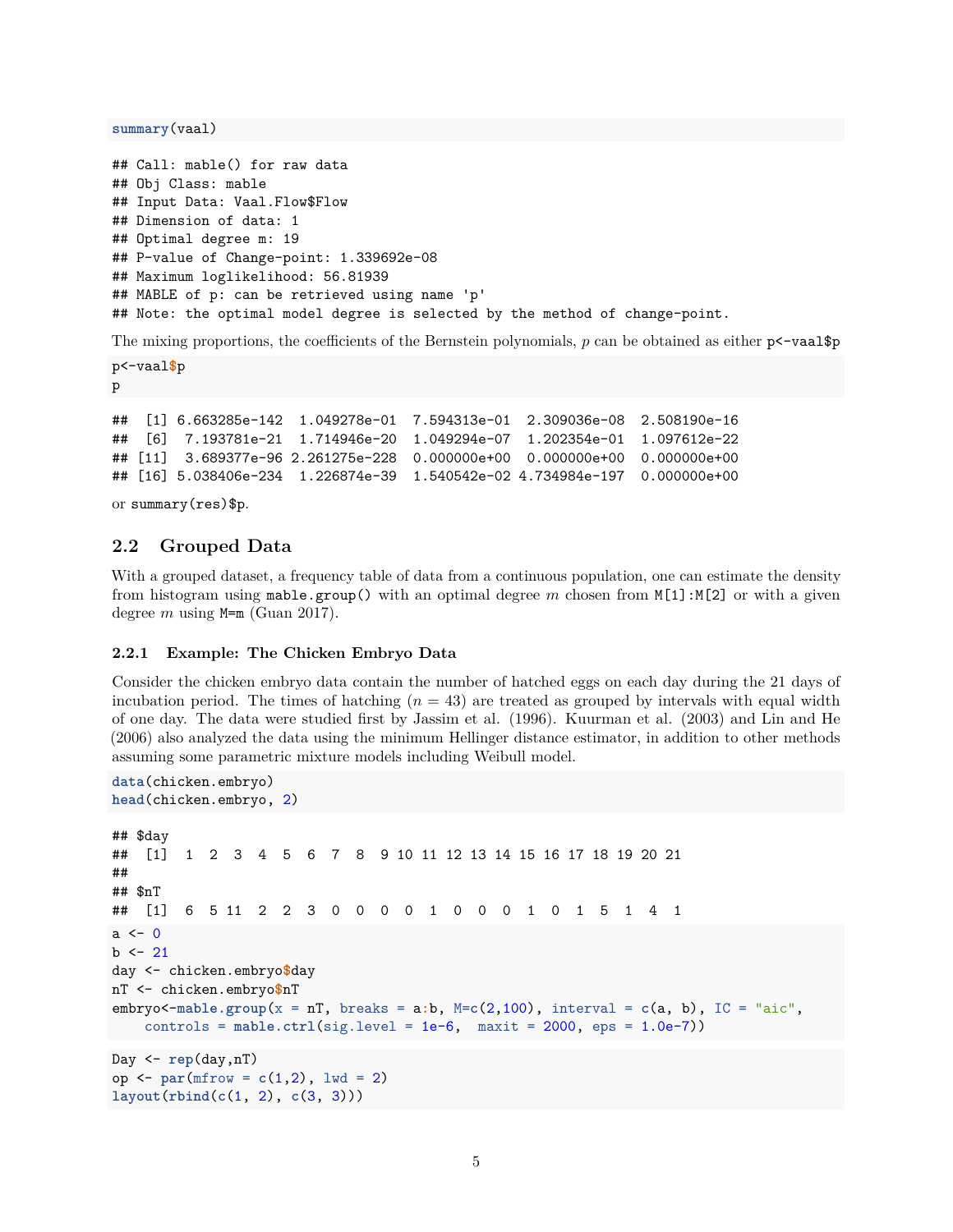**summary**(vaal)

```
## Call: mable() for raw data
## Obj Class: mable
## Input Data: Vaal.Flow$Flow
## Dimension of data: 1
## Optimal degree m: 19
## P-value of Change-point: 1.339692e-08
## Maximum loglikelihood: 56.81939
## MABLE of p: can be retrieved using name 'p'
## Note: the optimal model degree is selected by the method of change-point.
```
The mixing proportions, the coefficients of the Bernstein polynomials,  $p$  can be obtained as either  $p \leftarrow \text{vaalgp}$ 

p<-vaal**\$**p p

## [1] 6.663285e-142 1.049278e-01 7.594313e-01 2.309036e-08 2.508190e-16 ## [6] 7.193781e-21 1.714946e-20 1.049294e-07 1.202354e-01 1.097612e-22 ## [11] 3.689377e-96 2.261275e-228 0.000000e+00 0.000000e+00 0.000000e+00 ## [16] 5.038406e-234 1.226874e-39 1.540542e-02 4.734984e-197 0.000000e+00

or summary(res)\$p.

# <span id="page-4-0"></span>**2.2 Grouped Data**

With a grouped dataset, a frequency table of data from a continuous population, one can estimate the density from histogram using mable.group() with an optimal degree *m* chosen from M[1]:M[2] or with a given degree *m* using M=m (Guan [2017\)](#page-17-1).

### <span id="page-4-1"></span>**2.2.1 Example: The Chicken Embryo Data**

Consider the chicken embryo data contain the number of hatched eggs on each day during the 21 days of incubation period. The times of hatching  $(n = 43)$  are treated as grouped by intervals with equal width of one day. The data were studied first by Jassim et al. [\(1996\)](#page-17-2). Kuurman et al. [\(2003\)](#page-17-3) and Lin and He [\(2006\)](#page-17-4) also analyzed the data using the minimum Hellinger distance estimator, in addition to other methods assuming some parametric mixture models including Weibull model.

```
data(chicken.embryo)
head(chicken.embryo, 2)
## $day
## [1] 1 2 3 4 5 6 7 8 9 10 11 12 13 14 15 16 17 18 19 20 21
##
## $nT
## [1] 6 5 11 2 2 3 0 0 0 0 1 0 0 0 1 0 1 5 1 4 1
a \leftarrow 0b \le -21day <- chicken.embryo$day
nT <- chicken.embryo$nT
embryo<-mable.group(x = n), \text{breaks} = a:b, M=c(2,100), interval = c(a, b), IC = "aic",controls = mable.ctrl(sig.level = 1e-6, maxit = 2000, eps = 1.0e-7))
Day <- rep(day,nT)
op <- par(mfrow = c(1,2), lwd = 2)
layout(rbind(c(1, 2), c(3, 3)))
```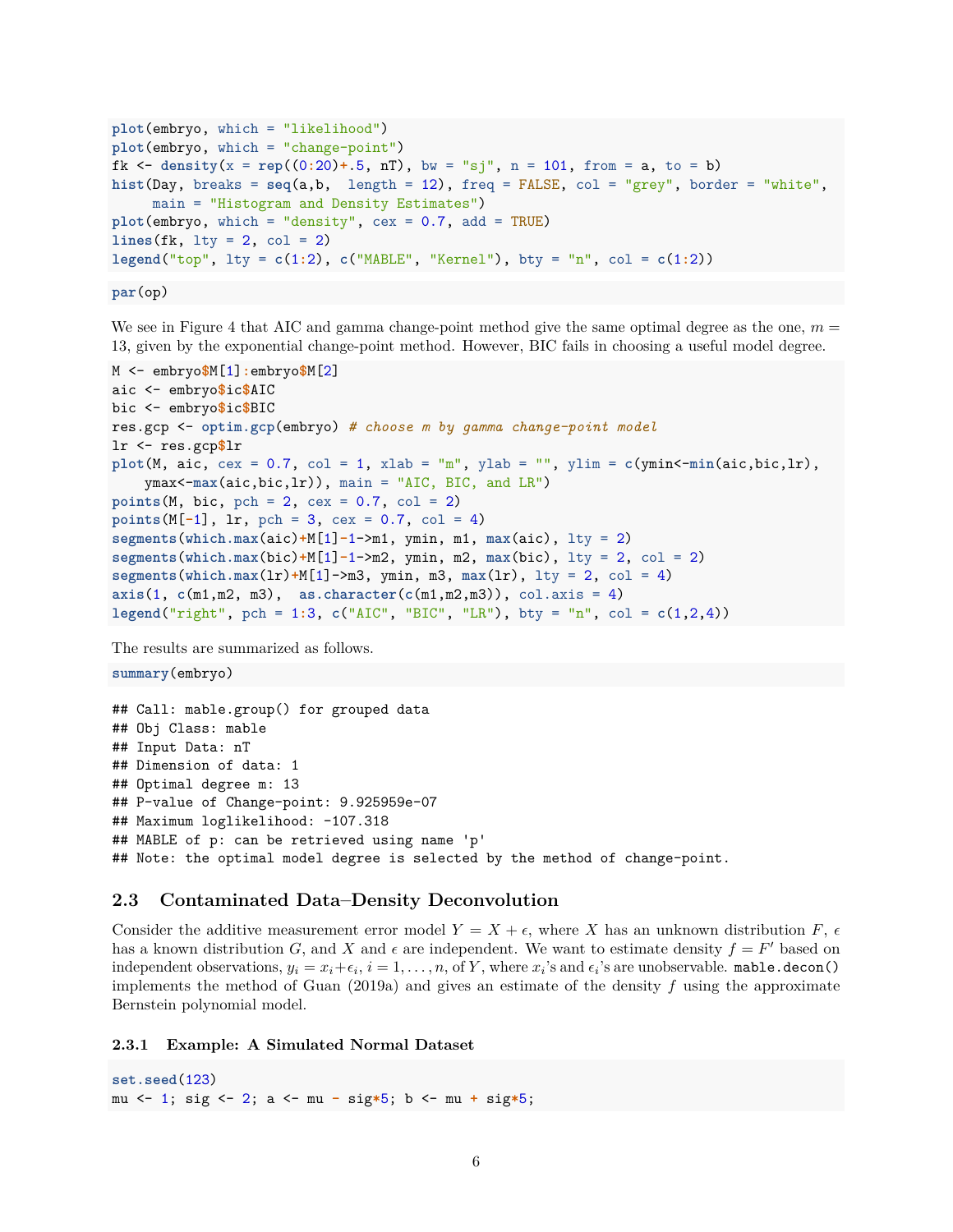```
plot(embryo, which = "likelihood")
plot(embryo, which = "change-point")
fk \leq density(x = rep((0:20) + .5, nT), bw = "sj", n = 101, from = a, to = b)
hist(Day, breaks = seq(a,b, length = 12), freq = FALSE, col = "grey", border = "white",
     main = "Histogram and Density Estimates")
plot(embryo, which = "density", cex = 0.7, add = TRUE)
lines(fk, 1ty = 2, col = 2)\text{Legend}(" \text{top", lty = } c(1:2), c(" \text{MABLE", "Kernel"), bty = "n", col = <math>c(1:2)</math>)
```
**par**(op)

We see in Figure [4](#page-7-1) that AIC and gamma change-point method give the same optimal degree as the one,  $m =$ 13, given by the exponential change-point method. However, BIC fails in choosing a useful model degree.

```
M <- embryo$M[1]:embryo$M[2]
aic <- embryo$ic$AIC
bic <- embryo$ic$BIC
res.gcp <- optim.gcp(embryo) # choose m by gamma change-point model
lr <- res.gcp$lr
plot(M, \text{aic}, \text{cex} = 0.7, \text{col} = 1, \text{xlab} = \text{"m", ylab} = \text{"", ylim} = c(\text{ymin}\{-\text{min}(aic, bic, lr),ymax<-max(aic,bic,lr)), main = "AIC, BIC, and LR")
points(M, bic, pch = 2, cex = 0.7, col = 2)
points(M[-1], lr, pch = 3, cex = 0.7, col = 4)
segments(which.max(aic)+M[1]-1->m1, ymin, m1, max(aic), lty = 2)
segments(which.max(bic)+M[1]-1->m2, ymin, m2, max(bic), lty = 2, col = 2)
segments(which.max(lr)+M[1]->m3, ymin, m3, max(lr), lty = 2, col = 4)
axis(1, c(m1,m2, m3), as.character(c(m1,m2,m3)), col.axis = 4)
legend("right", pch = 1:3, c("AIC", "BIC", "LR"), bty = "n", col = c(1,2,4))
```
The results are summarized as follows.

**summary**(embryo)

## Call: mable.group() for grouped data ## Obj Class: mable ## Input Data: nT ## Dimension of data: 1 ## Optimal degree m: 13 ## P-value of Change-point: 9.925959e-07 ## Maximum loglikelihood: -107.318 ## MABLE of p: can be retrieved using name 'p' ## Note: the optimal model degree is selected by the method of change-point.

## <span id="page-5-0"></span>**2.3 Contaminated Data–Density Deconvolution**

Consider the additive measurement error model  $Y = X + \epsilon$ , where *X* has an unknown distribution *F*,  $\epsilon$ has a known distribution *G*, and *X* and  $\epsilon$  are independent. We want to estimate density  $f = F'$  based on independent observations,  $y_i = x_i + \epsilon_i$ ,  $i = 1, ..., n$ , of Y, where  $x_i$ 's and  $\epsilon_i$ 's are unobservable. mable.decon() implements the method of Guan [\(2019a\)](#page-17-5) and gives an estimate of the density *f* using the approximate Bernstein polynomial model.

<span id="page-5-1"></span>**2.3.1 Example: A Simulated Normal Dataset**

**set.seed**(123) mu <- 1; sig <- 2; a <- mu **-** sig**\***5; b <- mu **+** sig**\***5;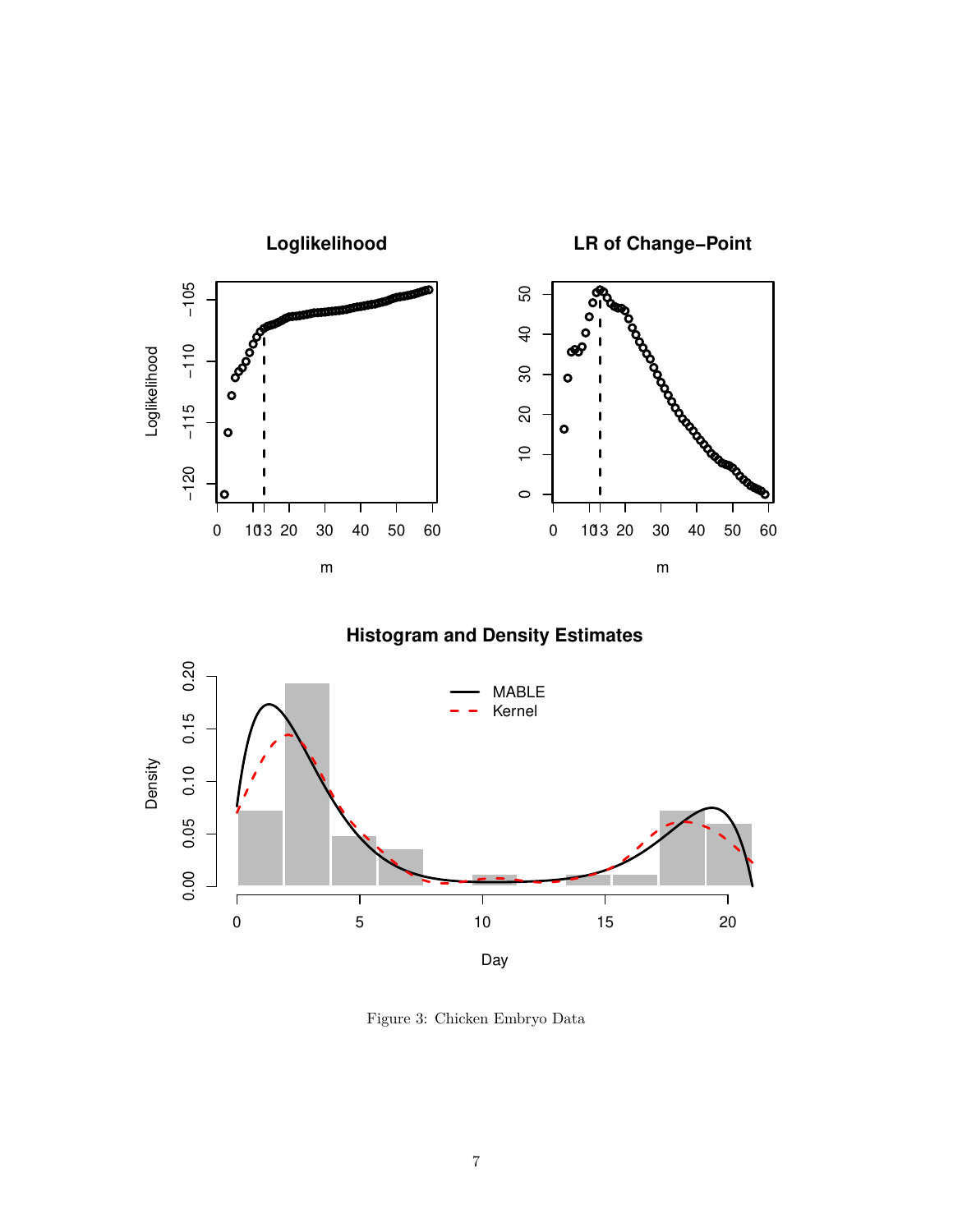

**Histogram and Density Estimates**



Figure 3: Chicken Embryo Data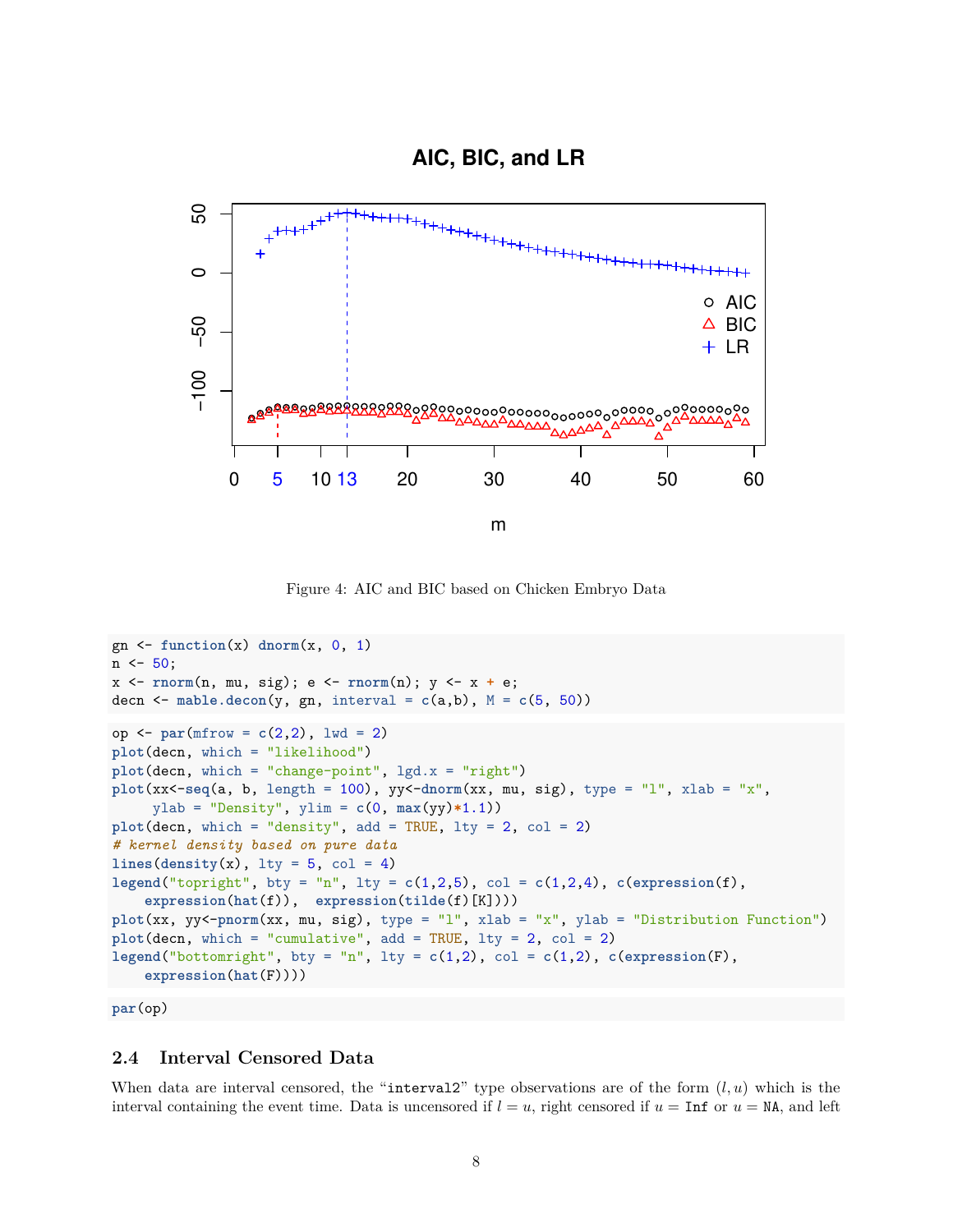# **AIC, BIC, and LR**



<span id="page-7-1"></span>Figure 4: AIC and BIC based on Chicken Embryo Data

```
gn \leftarrow function(x) dnorm(x, 0, 1)n \le -50;
x <- rnorm(n, mu, sig); e <- rnorm(n); y <- x + e;
decn \leq mable.decon(y, gn, interval = c(a,b), M = c(5, 50))
op <- par(mfrow = c(2,2), lwd = 2)
plot(decn, which = "likelihood")
plot(decn, which = "change-point", lgd.x = "right")
plot(xx<-seq(a, b, length = 100), yy<-dnorm(xx, mu, sig), type = "l", xlab = "x",
    ylab = "Density", ylim = c(0, max(yy)*1.1))
plot(decn, which = "density", add = TRUE, lty = 2, col = 2)
# kernel density based on pure data
lines(density(x), 1ty = 5, col = 4)legend("topright", bty = "n", lty = c(1,2,5), col = c(1,2,4), c(expression(f),
    expression(hat(f)), expression(tilde(f)[K])))
plot(xx, yy<-pnorm(xx, mu, sig), type = "l", xlab = "x", ylab = "Distribution Function")
plot(decn, which = "cumulative", add = TRUE, lty = 2, col = 2)
legend("bottomright", bty = "n", lty = c(1,2), col = c(1,2), c(expression(F),
    expression(hat(F))))
```
**par**(op)

# <span id="page-7-0"></span>**2.4 Interval Censored Data**

When data are interval censored, the "interval2" type observations are of the form  $(l, u)$  which is the interval containing the event time. Data is uncensored if  $l = u$ , right censored if  $u = \text{Inf}$  or  $u = \text{NA}$ , and left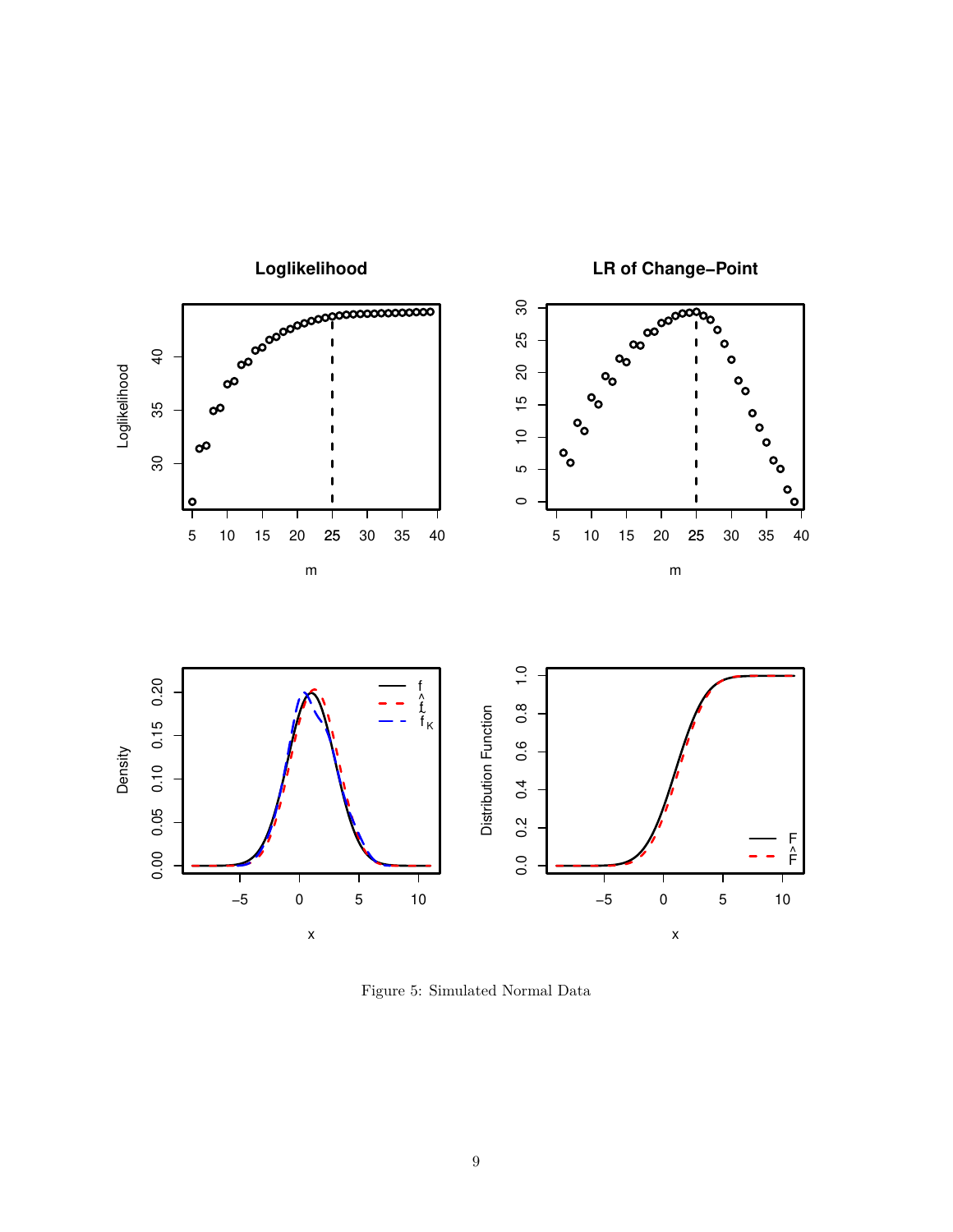

Figure 5: Simulated Normal Data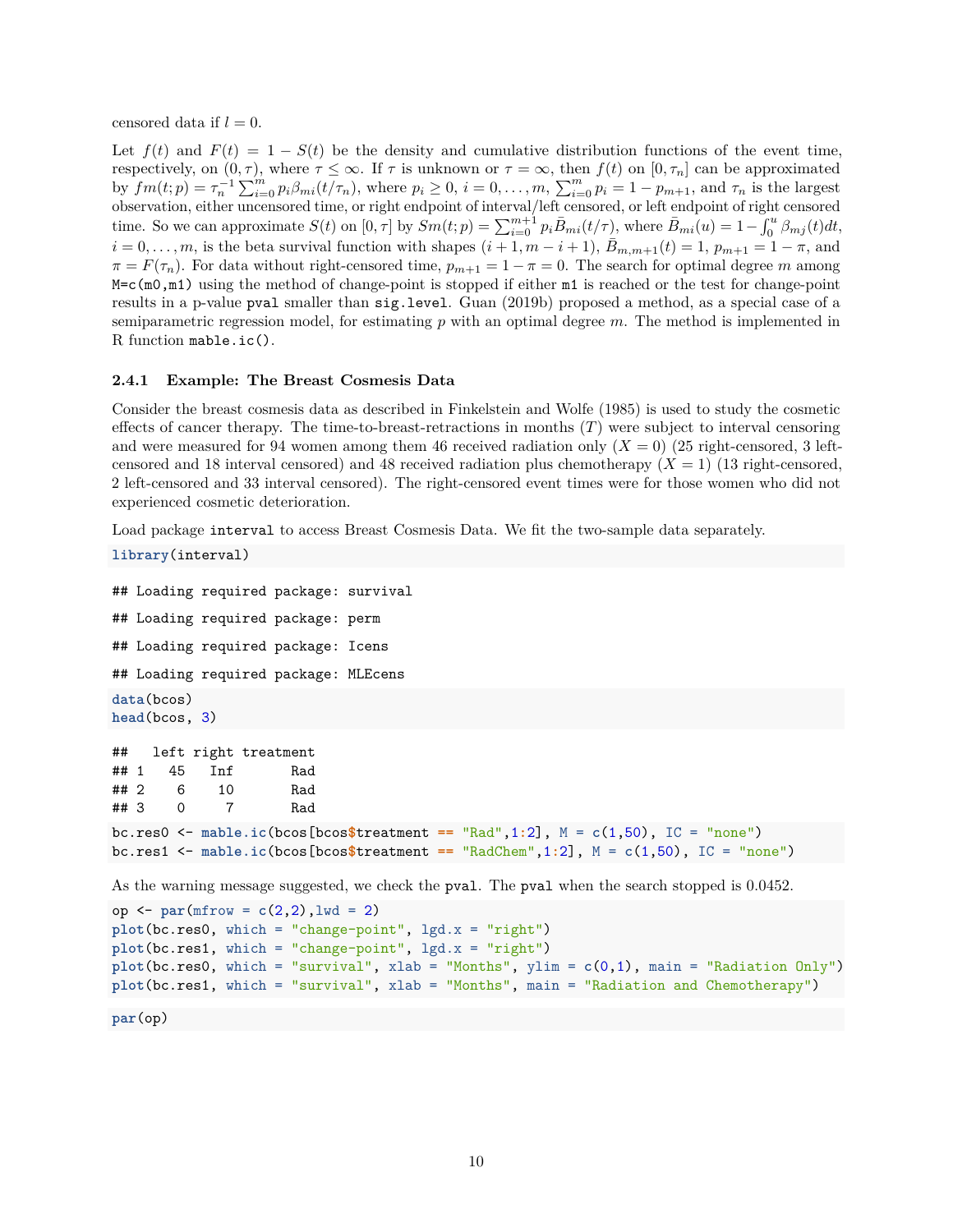censored data if  $l = 0$ .

Let  $f(t)$  and  $F(t) = 1 - S(t)$  be the density and cumulative distribution functions of the event time, respectively, on  $(0, \tau)$ , where  $\tau \leq \infty$ . If  $\tau$  is unknown or  $\tau = \infty$ , then  $f(t)$  on  $[0, \tau_n]$  can be approximated by  $fm(t;p) = \tau_n^{-1} \sum_{i=0}^m p_i \beta_{mi}(t/\tau_n)$ , where  $p_i \ge 0$ ,  $i = 0, ..., m$ ,  $\sum_{i=0}^m p_i = 1 - p_{m+1}$ , and  $\tau_n$  is the largest observation, either uncensored time, or right endpoint of interval/left censored, or left endpoint of right censored time. So we can approximate  $S(t)$  on  $[0, \tau]$  by  $Sm(t; p) = \sum_{i=0}^{m+1} p_i \bar{B}_{mi}(t/\tau)$ , where  $\bar{B}_{mi}(u) = 1 - \int_0^u \beta_{mj}(t) dt$ ,  $i = 0, \ldots, m$ , is the beta survival function with shapes  $(i + 1, m - i + 1)$ ,  $\bar{B}_{m,m+1}(t) = 1$ ,  $p_{m+1} = 1 - \pi$ , and  $\pi = F(\tau_n)$ . For data without right-censored time,  $p_{m+1} = 1 - \pi = 0$ . The search for optimal degree *m* among M=c(m0,m1) using the method of change-point is stopped if either m1 is reached or the test for change-point results in a p-value pval smaller than sig.level. Guan [\(2019b\)](#page-17-6) proposed a method, as a special case of a semiparametric regression model, for estimating *p* with an optimal degree *m*. The method is implemented in R function mable.ic().

#### <span id="page-9-0"></span>**2.4.1 Example: The Breast Cosmesis Data**

Consider the breast cosmesis data as described in Finkelstein and Wolfe [\(1985\)](#page-16-3) is used to study the cosmetic effects of cancer therapy. The time-to-breast-retractions in months (*T*) were subject to interval censoring and were measured for 94 women among them 46 received radiation only  $(X = 0)$  (25 right-censored, 3 leftcensored and 18 interval censored) and 48 received radiation plus chemotherapy (*X* = 1) (13 right-censored, 2 left-censored and 33 interval censored). The right-censored event times were for those women who did not experienced cosmetic deterioration.

Load package interval to access Breast Cosmesis Data. We fit the two-sample data separately.

```
library(interval)
```

```
## Loading required package: survival
## Loading required package: perm
## Loading required package: Icens
## Loading required package: MLEcens
data(bcos)
head(bcos, 3)
## left right treatment
## 1 45 Inf Rad
## 2 6 10 Rad
## 3 0 7 Rad
bc.res0 \leq mable.ic(bcos[bcos$treatment == "Rad",1:2], M = c(1,50), IC = "none")
bc.res1 <- mable.ic(bcos[bcos$treatment == "RadChem",1:2], M = c(1,50), IC = "none")
As the warning message suggested, we check the pval. The pval when the search stopped is 0.0452.
op <- par(mfrow = c(2,2),lwd = 2)
plot(bc.res0, which = "change-point", lgd.x = "right")
plot(bc.res1, which = "change-point", lgd.x = "right")
```
**par**(op)

**plot**(bc.res0, which = "survival", xlab = "Months", ylim = **c**(0,1), main = "Radiation Only") **plot**(bc.res1, which = "survival", xlab = "Months", main = "Radiation and Chemotherapy")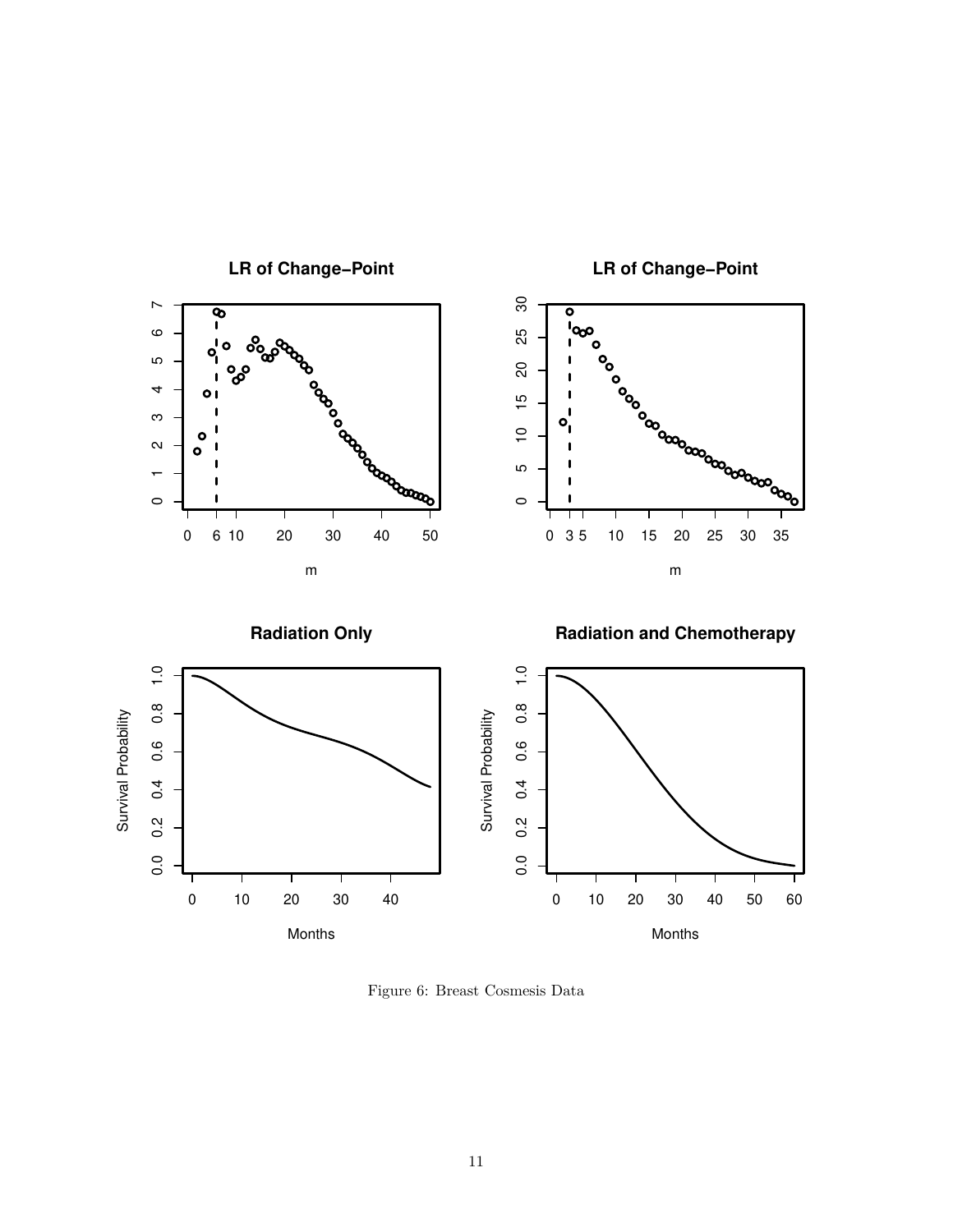

**LR of Change−Point**

**LR of Change−Point**

Figure 6: Breast Cosmesis Data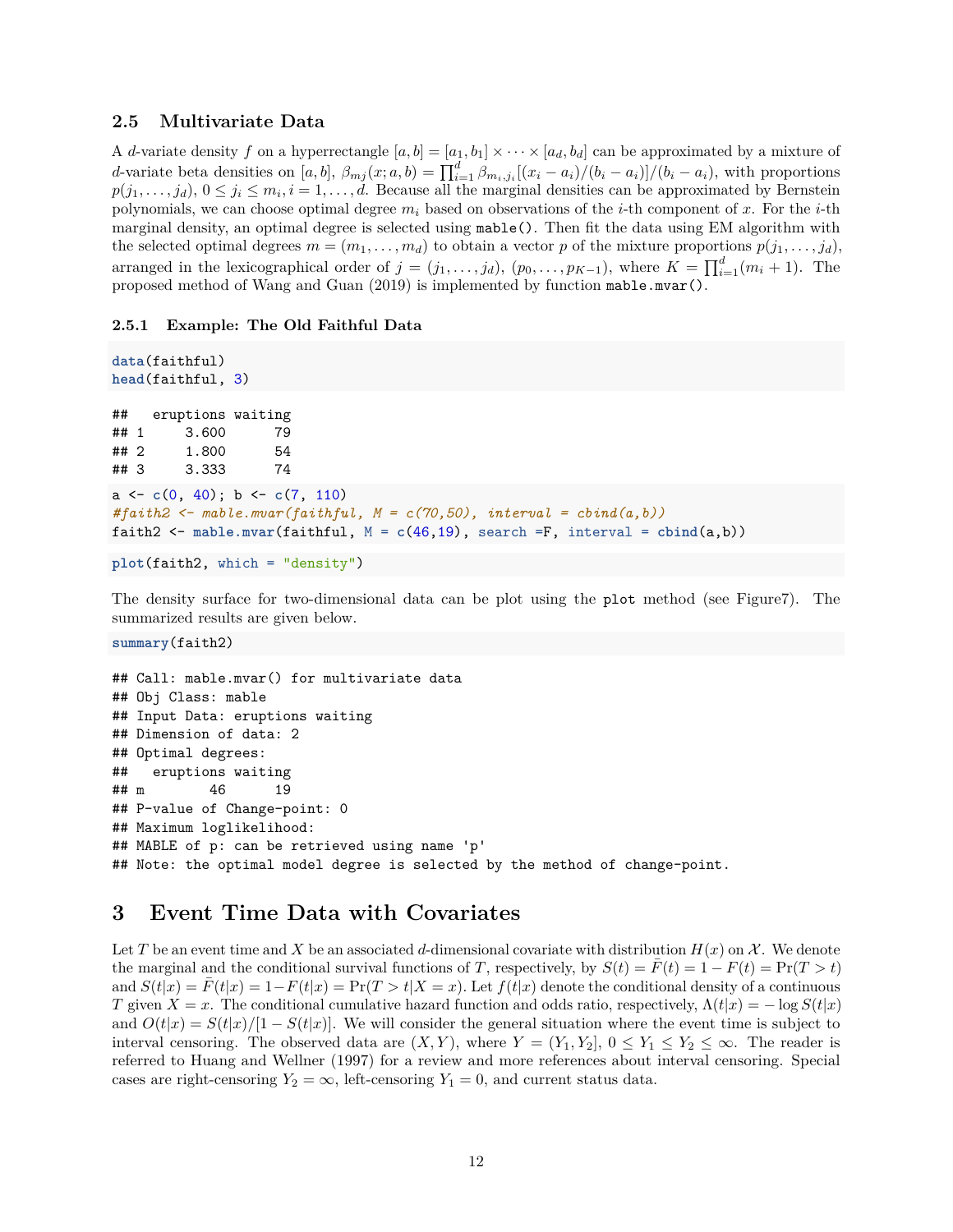# <span id="page-11-0"></span>**2.5 Multivariate Data**

A *d*-variate density *f* on a hyperrectangle  $[a, b] = [a_1, b_1] \times \cdots \times [a_d, b_d]$  can be approximated by a mixture of d-variate beta densities on [a, b],  $\beta_{mj}(x;a,b) = \prod_{i=1}^d \beta_{m_i,j_i}[(x_i - a_i)/(b_i - a_i)]/(b_i - a_i)$ , with proportions  $p(j_1, \ldots, j_d)$ ,  $0 \le j_i \le m_i, i = 1, \ldots, d$ . Because all the marginal densities can be approximated by Bernstein polynomials, we can choose optimal degree  $m_i$  based on observations of the *i*-th component of x. For the *i*-th marginal density, an optimal degree is selected using mable(). Then fit the data using EM algorithm with the selected optimal degrees  $m = (m_1, \ldots, m_d)$  to obtain a vector p of the mixture proportions  $p(j_1, \ldots, j_d)$ , arranged in the lexicographical order of  $j = (j_1, \ldots, j_d)$ ,  $(p_0, \ldots, p_{K-1})$ , where  $K = \prod_{i=1}^d (m_i + 1)$ . The proposed method of Wang and Guan [\(2019\)](#page-17-7) is implemented by function mable.mvar().

## <span id="page-11-1"></span>**2.5.1 Example: The Old Faithful Data**

```
data(faithful)
head(faithful, 3)
## eruptions waiting
## 1 3.600 79
## 2 1.800 54
## 3 3.333 74
a <- c(0, 40); b <- c(7, 110)
#faith2 <- mable.mvar(faithful, M = c(70,50), interval = cbind(a,b))
faith2 <- mable.mvar(faithful, M = c(46,19), search =F, interval = cbind(a,b))
```

```
plot(faith2, which = "density")
```
The density surface for two-dimensional data can be plot using the plot method (see Figur[e7\)](#page-12-0). The summarized results are given below.

**summary**(faith2)

```
## Call: mable.mvar() for multivariate data
## Obj Class: mable
## Input Data: eruptions waiting
## Dimension of data: 2
## Optimal degrees:
## eruptions waiting
## m 46 19
## P-value of Change-point: 0
## Maximum loglikelihood:
## MABLE of p: can be retrieved using name 'p'
## Note: the optimal model degree is selected by the method of change-point.
```
# <span id="page-11-2"></span>**3 Event Time Data with Covariates**

Let *T* be an event time and *X* be an associated *d*-dimensional covariate with distribution  $H(x)$  on  $\mathcal X$ . We denote the marginal and the conditional survival functions of *T*, respectively, by  $S(t) = F(t) = 1 - F(t) = \Pr(T > t)$ and  $S(t|x) = F(t|x) = 1 - F(t|x) = \Pr(T > t | X = x)$ . Let  $f(t|x)$  denote the conditional density of a continuous *T* given *X* = *x*. The conditional cumulative hazard function and odds ratio, respectively,  $\Lambda(t|x) = -\log S(t|x)$ and  $O(t|x) = S(t|x)/[1 - S(t|x)]$ . We will consider the general situation where the event time is subject to interval censoring. The observed data are  $(X, Y)$ , where  $Y = (Y_1, Y_2]$ ,  $0 \le Y_1 \le Y_2 \le \infty$ . The reader is referred to Huang and Wellner [\(1997\)](#page-17-8) for a review and more references about interval censoring. Special cases are right-censoring  $Y_2 = \infty$ , left-censoring  $Y_1 = 0$ , and current status data.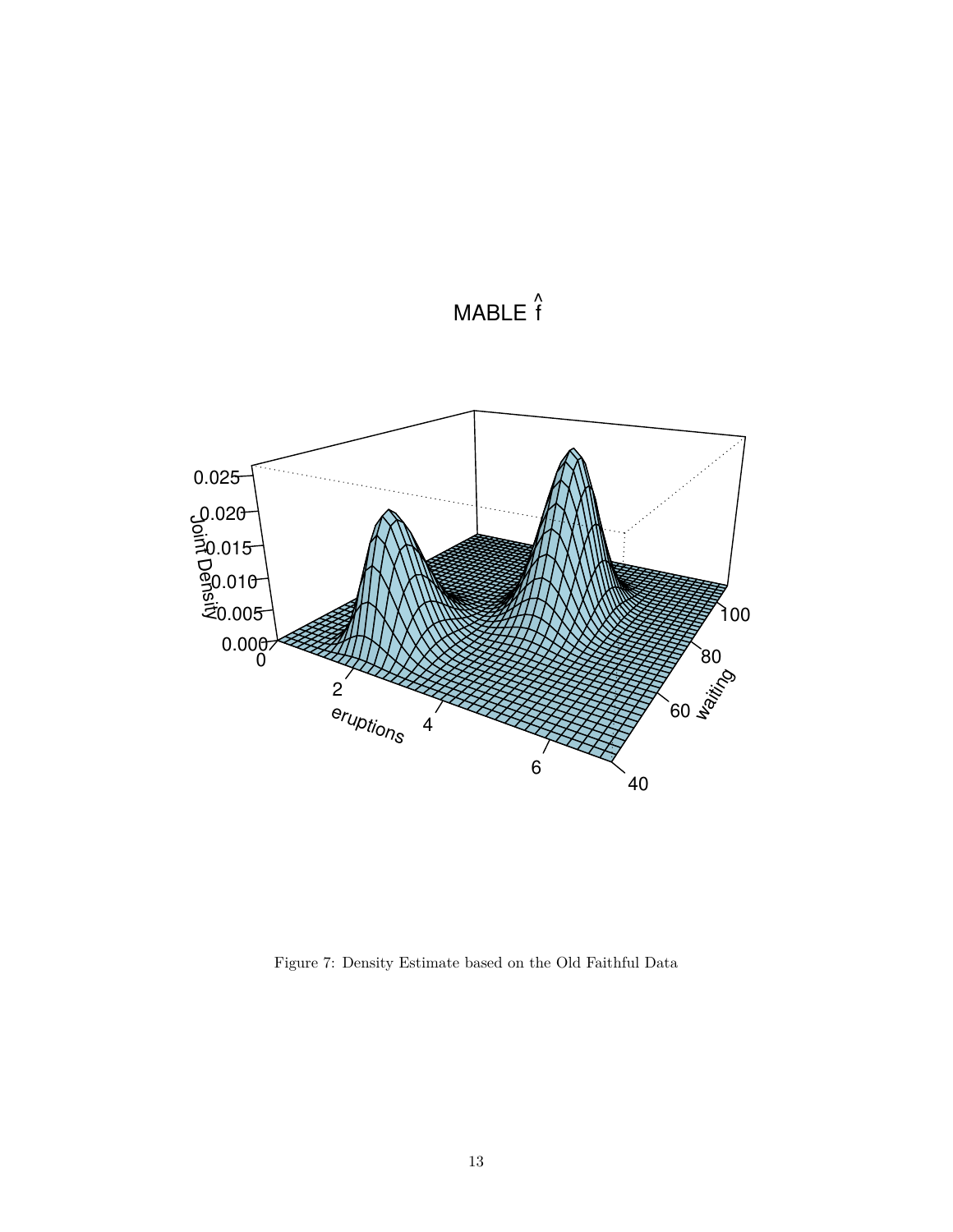

 $MABLE$ 

<span id="page-12-0"></span>Figure 7: Density Estimate based on the Old Faithful Data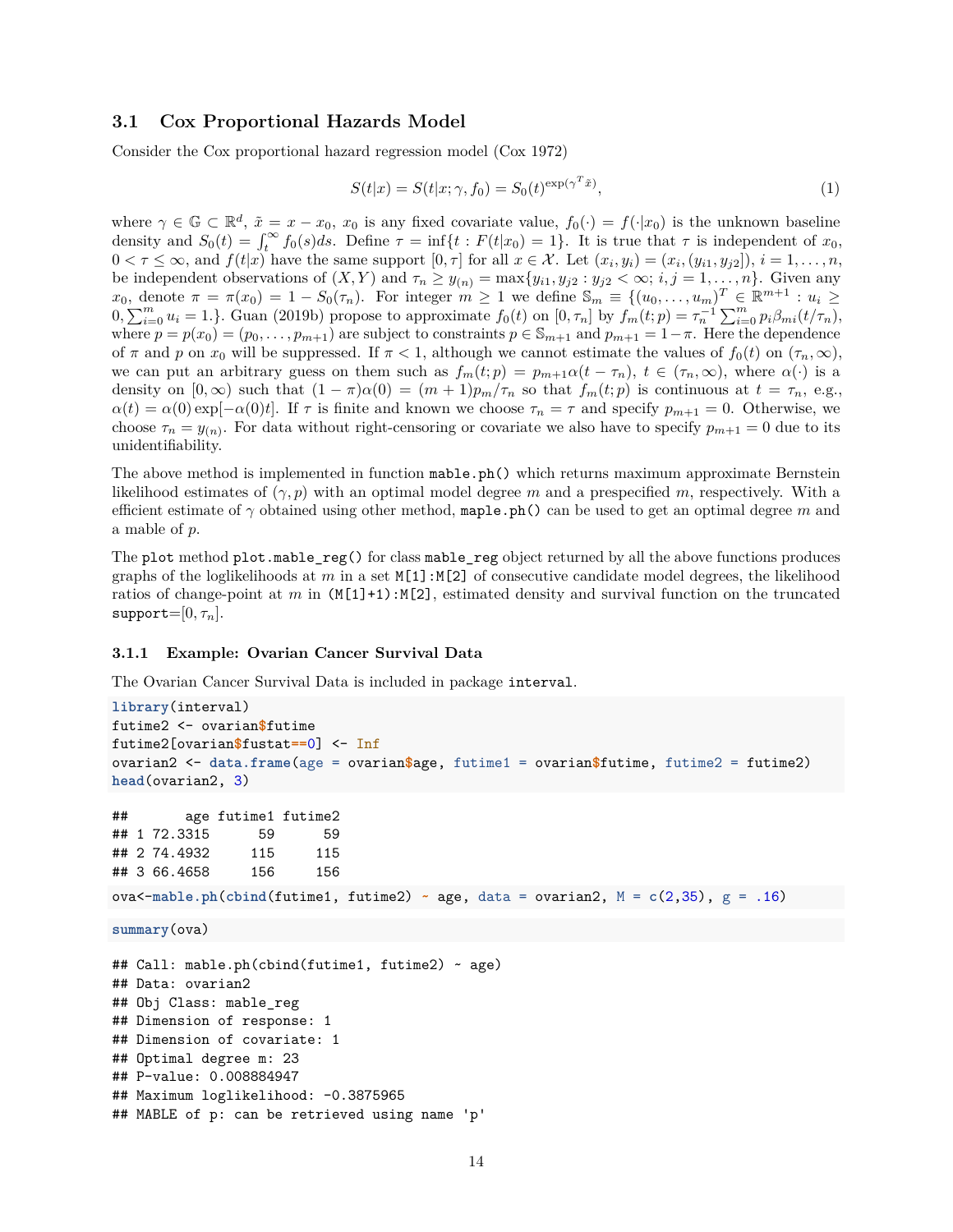## <span id="page-13-0"></span>**3.1 Cox Proportional Hazards Model**

Consider the Cox proportional hazard regression model (Cox [1972\)](#page-16-4)

$$
S(t|x) = S(t|x; \gamma, f_0) = S_0(t)^{\exp(\gamma^T \tilde{x})}, \qquad (1)
$$

where  $\gamma \in \mathbb{G} \subset \mathbb{R}^d$ ,  $\tilde{x} = x - x_0$ ,  $x_0$  is any fixed covariate value,  $f_0(\cdot) = f(\cdot|x_0)$  is the unknown baseline density and  $S_0(t) = \int_t^\infty f_0(s)ds$ . Define  $\tau = \inf\{t : F(t|x_0) = 1\}$ . It is true that  $\tau$  is independent of  $x_0$ ,  $0 < \tau \leq \infty$ , and  $f(t|x)$  have the same support  $[0, \tau]$  for all  $x \in \mathcal{X}$ . Let  $(x_i, y_i) = (x_i, (y_{i1}, y_{j2}]), i = 1, \ldots, n$ , be independent observations of  $(X, Y)$  and  $\tau_n \geq y_{(n)} = \max\{y_{i1}, y_{i2} : y_{i2} < \infty; i, j = 1, \ldots, n\}$ . Given any  $x_0$ , denote  $\pi = \pi(x_0) = 1 - S_0(\tau_n)$ . For integer  $m \ge 1$  we define  $\mathbb{S}_m \equiv \{(u_0, \ldots, u_m)^T \in \mathbb{R}^{m+1} : u_i \ge 1\}$  $(0, \sum_{i=0}^{m} u_i = 1.$ . Guan [\(2019b\)](#page-17-6) propose to approximate  $f_0(t)$  on  $[0, \tau_n]$  by  $f_m(t; p) = \tau_n^{-1} \sum_{i=0}^{m} p_i \beta_{mi}(t/\tau_n)$ , where  $p = p(x_0) = (p_0, \ldots, p_{m+1})$  are subject to constraints  $p \in \mathbb{S}_{m+1}$  and  $p_{m+1} = 1 - \pi$ . Here the dependence of  $\pi$  and  $p$  on  $x_0$  will be suppressed. If  $\pi < 1$ , although we cannot estimate the values of  $f_0(t)$  on  $(\tau_n, \infty)$ , we can put an arbitrary guess on them such as  $f_m(t; p) = p_{m+1}a(t - \tau_n), t \in (\tau_n, \infty)$ , where  $\alpha(\cdot)$  is a density on  $[0, \infty)$  such that  $(1 - \pi)\alpha(0) = (m + 1)p_m/\tau_n$  so that  $f_m(t;p)$  is continuous at  $t = \tau_n$ , e.g.,  $\alpha(t) = \alpha(0) \exp[-\alpha(0)t]$ . If *τ* is finite and known we choose  $\tau_n = \tau$  and specify  $p_{m+1} = 0$ . Otherwise, we choose  $\tau_n = y_{(n)}$ . For data without right-censoring or covariate we also have to specify  $p_{m+1} = 0$  due to its unidentifiability.

The above method is implemented in function mable.ph() which returns maximum approximate Bernstein likelihood estimates of (*γ, p*) with an optimal model degree *m* and a prespecified *m*, respectively. With a efficient estimate of *γ* obtained using other method, maple.ph() can be used to get an optimal degree *m* and a mable of *p*.

The plot method plot.mable reg() for class mable reg object returned by all the above functions produces graphs of the loglikelihoods at  $m$  in a set  $M[1]:M[2]$  of consecutive candidate model degrees, the likelihood ratios of change-point at *m* in  $(M[1]+1)$ : $M[2]$ , estimated density and survival function on the truncated  $support=[0, \tau_n].$ 

### <span id="page-13-1"></span>**3.1.1 Example: Ovarian Cancer Survival Data**

The Ovarian Cancer Survival Data is included in package interval.

```
library(interval)
futime2 <- ovarian$futime
futime2[ovarian$fustat==0] <- Inf
ovarian2 <- data.frame(age = ovarian$age, futime1 = ovarian$futime, futime2 = futime2)
head(ovarian2, 3)
## age futime1 futime2
## 1 72.3315 59 59
## 2 74.4932 115 115
## 3 66.4658 156 156
ova<-mable.ph(cbind(futime1, futime2) \sim age, data = ovarian2, M = c(2,35), g = .16)
summary(ova)
## Call: mable.ph(cbind(futime1, futime2) ~ age)
## Data: ovarian2
## Obj Class: mable_reg
## Dimension of response: 1
## Dimension of covariate: 1
## Optimal degree m: 23
## P-value: 0.008884947
## Maximum loglikelihood: -0.3875965
## MABLE of p: can be retrieved using name 'p'
```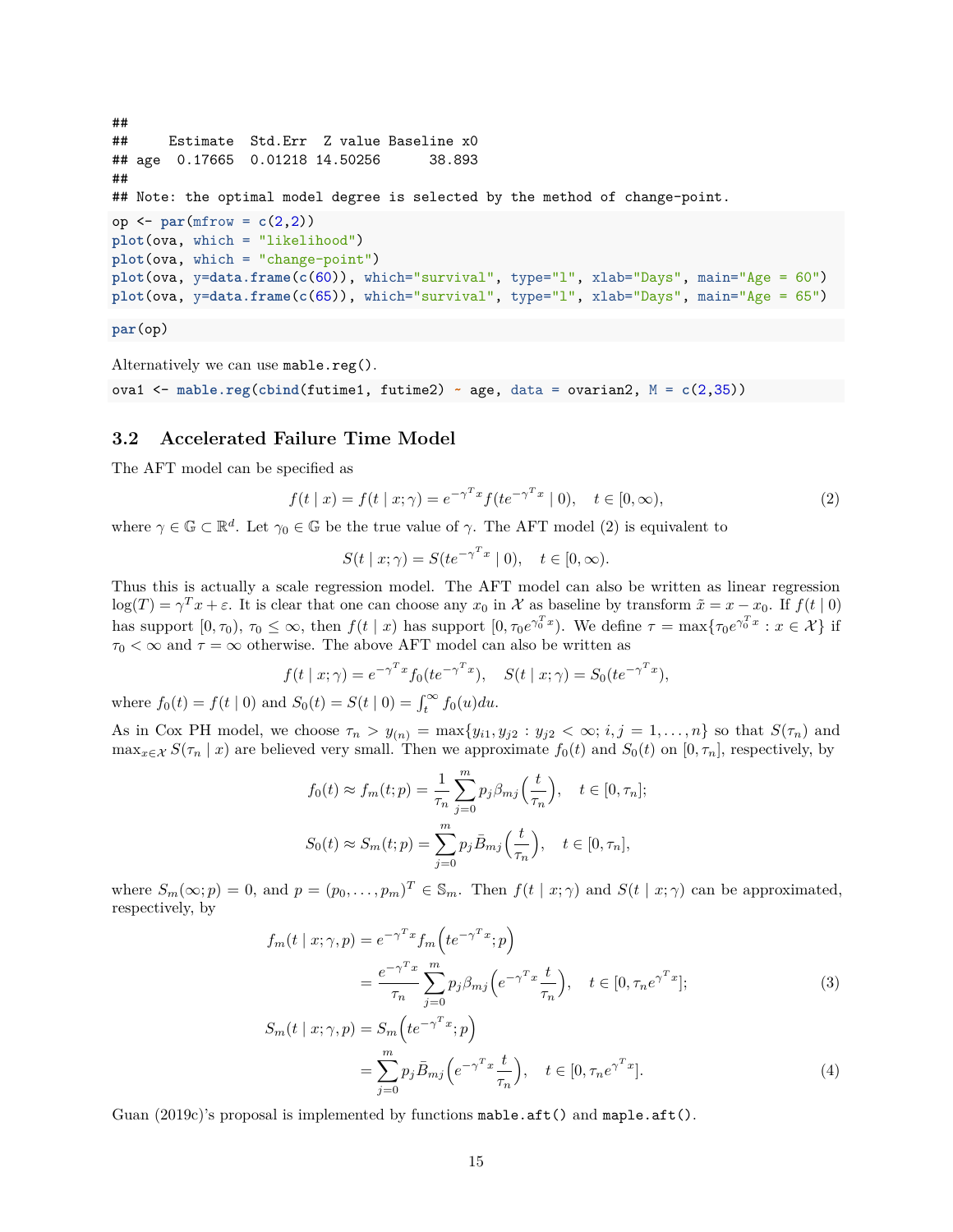```
##
## Estimate Std.Err Z value Baseline x0
## age 0.17665 0.01218 14.50256 38.893
##
## Note: the optimal model degree is selected by the method of change-point.
op <- par(mfrow = c(2,2))
plot(ova, which = "likelihood")
plot(ova, which = "change-point")
plot(ova, y=data.frame(c(60)), which="survival", type="l", xlab="Days", main="Age = 60")
plot(ova, y=data.frame(c(65)), which="survival", type="l", xlab="Days", main="Age = 65")
```
**par**(op)

Alternatively we can use mable.reg().

ova1 <- **mable.reg**(**cbind**(futime1, futime2) **~** age, data = ovarian2, M = **c**(2,35))

## <span id="page-14-0"></span>**3.2 Accelerated Failure Time Model**

The AFT model can be specified as

<span id="page-14-1"></span>
$$
f(t \mid x) = f(t \mid x; \gamma) = e^{-\gamma^T x} f(te^{-\gamma^T x} \mid 0), \quad t \in [0, \infty),
$$
 (2)

where  $\gamma \in \mathbb{G} \subset \mathbb{R}^d$ . Let  $\gamma_0 \in \mathbb{G}$  be the true value of  $\gamma$ . The AFT model [\(2\)](#page-14-1) is equivalent to

$$
S(t \mid x; \gamma) = S(te^{-\gamma^T x} \mid 0), \quad t \in [0, \infty).
$$

Thus this is actually a scale regression model. The AFT model can also be written as linear regression  $\log(T) = \gamma^T x + \varepsilon$ . It is clear that one can choose any  $x_0$  in X as baseline by transform  $\tilde{x} = x - x_0$ . If  $f(t | 0)$ has support  $[0, \tau_0)$ ,  $\tau_0 \leq \infty$ , then  $f(t | x)$  has support  $[0, \tau_0 e^{\gamma_0^T x}]$ . We define  $\tau = \max{\{\tau_0 e^{\gamma_0^T x} : x \in \mathcal{X}\}}$  if  $\tau_0 < \infty$  and  $\tau = \infty$  otherwise. The above AFT model can also be written as

$$
f(t \mid x; \gamma) = e^{-\gamma^T x} f_0(t e^{-\gamma^T x}), \quad S(t \mid x; \gamma) = S_0(t e^{-\gamma^T x}),
$$

where  $f_0(t) = f(t | 0)$  and  $S_0(t) = S(t | 0) = \int_t^\infty f_0(u) du$ .

As in Cox PH model, we choose  $\tau_n > y_{(n)} = \max\{y_{i1}, y_{j2} : y_{j2} < \infty; i, j = 1, \ldots, n\}$  so that  $S(\tau_n)$  and  $\max_{x \in \mathcal{X}} S(\tau_n | x)$  are believed very small. Then we approximate  $f_0(t)$  and  $S_0(t)$  on  $[0, \tau_n]$ , respectively, by

$$
f_0(t) \approx f_m(t; p) = \frac{1}{\tau_n} \sum_{j=0}^m p_j \beta_{mj} \left(\frac{t}{\tau_n}\right), \quad t \in [0, \tau_n];
$$
  

$$
S_0(t) \approx S_m(t; p) = \sum_{j=0}^m p_j \bar{B}_{mj} \left(\frac{t}{\tau_n}\right), \quad t \in [0, \tau_n],
$$

where  $S_m(\infty; p) = 0$ , and  $p = (p_0, \ldots, p_m)^T \in \mathbb{S}_m$ . Then  $f(t | x; \gamma)$  and  $S(t | x; \gamma)$  can be approximated, respectively, by

$$
f_m(t \mid x; \gamma, p) = e^{-\gamma^T x} f_m \left( t e^{-\gamma^T x}; p \right)
$$
  
= 
$$
\frac{e^{-\gamma^T x}}{\tau_n} \sum_{j=0}^m p_j \beta_{mj} \left( e^{-\gamma^T x} \frac{t}{\tau_n} \right), \quad t \in [0, \tau_n e^{\gamma^T x}];
$$
 (3)

$$
S_m(t \mid x; \gamma, p) = S_m\left(te^{-\gamma^T x}; p\right)
$$
  
= 
$$
\sum_{j=0}^m p_j \bar{B}_{mj}\left(e^{-\gamma^T x} \frac{t}{\tau_n}\right), \quad t \in [0, \tau_n e^{\gamma^T x}].
$$
 (4)

Guan [\(2019c\)](#page-17-9)'s proposal is implemented by functions  $\texttt{mable}.\texttt{aft}()$  and  $\texttt{maple}.\texttt{aft}()$ .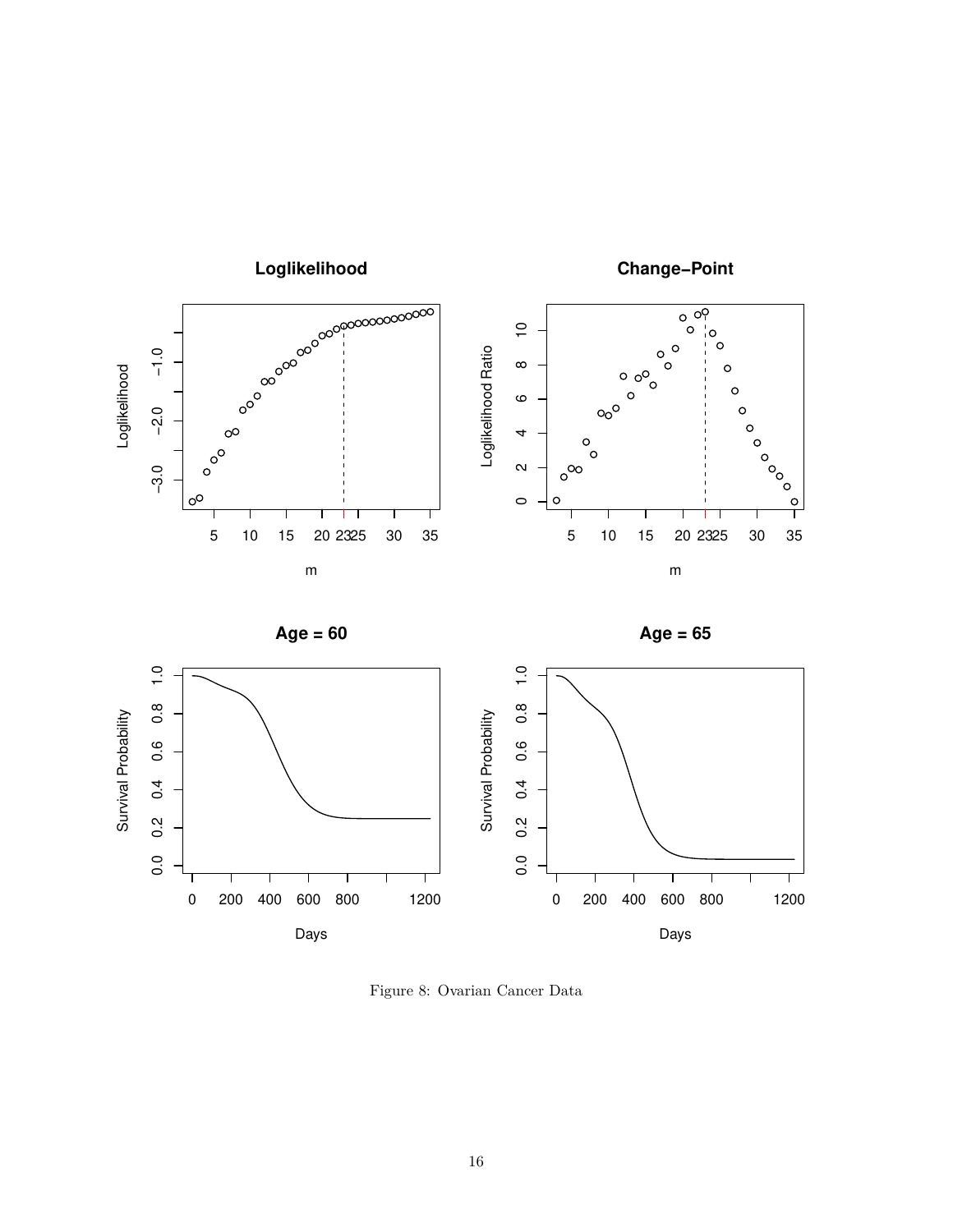







Figure 8: Ovarian Cancer Data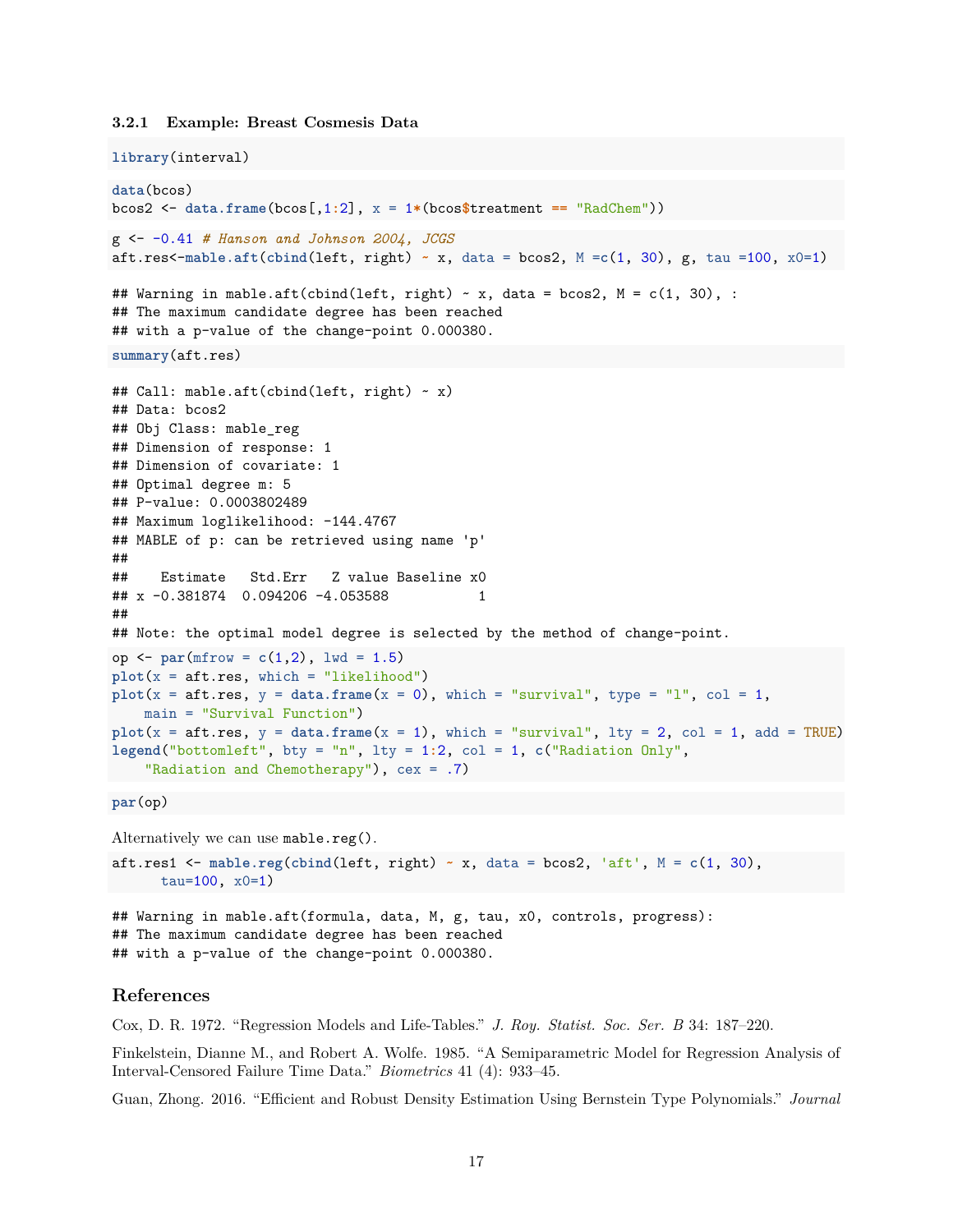#### <span id="page-16-0"></span>**3.2.1 Example: Breast Cosmesis Data**

```
library(interval)
data(bcos)
bcos2 <- data.frame(bcos[,1:2], x = 1*(bcos$treatment == "RadChem"))
g <- -0.41 # Hanson and Johnson 2004, JCGS
aft.res<-mable.aft(cbind(left, right) ~ x, data = bcos2, M =c(1, 30), g, tau =100, x0=1)
## Warning in mable.aft(cbind(left, right) \sim x, data = bcos2, M = c(1, 30), :
## The maximum candidate degree has been reached
## with a p-value of the change-point 0.000380.
summary(aft.res)
## Call: mable.aft(cbind(left, right) ~ x)
## Data: bcos2
## Obj Class: mable_reg
## Dimension of response: 1
## Dimension of covariate: 1
## Optimal degree m: 5
## P-value: 0.0003802489
## Maximum loglikelihood: -144.4767
## MABLE of p: can be retrieved using name 'p'
##
## Estimate Std.Err Z value Baseline x0
## x -0.381874 0.094206 -4.053588 1
##
## Note: the optimal model degree is selected by the method of change-point.
op <- par(mfrow = c(1,2), lwd = 1.5)
plot(x = aft.res, which = "likelihood")plot(x = aft.res, y = data.frame(x = 0), which = "survival", type = "l", col = 1,main = "Survival Function")
plot(x = aft.res, y = data.frame(x = 1), which = "survival", lty = 2, col = 1, add = TRUE)legend("bottomleft", bty = "n", lty = 1:2, col = 1, c("Radiation Only",
    "Radiation and Chemotherapy"), cex = .7)
par(op)
Alternatively we can use mable.reg().
aft.res1 <- mable.reg(cbind(left, right) ~ x, data = bcos2, 'aft', M = c(1, 30),
     tau=100, x0=1)
```
## Warning in mable.aft(formula, data, M, g, tau, x0, controls, progress): ## The maximum candidate degree has been reached ## with a p-value of the change-point 0.000380.

# <span id="page-16-1"></span>**References**

<span id="page-16-4"></span>Cox, D. R. 1972. "Regression Models and Life-Tables." *J. Roy. Statist. Soc. Ser. B* 34: 187–220.

<span id="page-16-3"></span>Finkelstein, Dianne M., and Robert A. Wolfe. 1985. "A Semiparametric Model for Regression Analysis of Interval-Censored Failure Time Data." *Biometrics* 41 (4): 933–45.

<span id="page-16-2"></span>Guan, Zhong. 2016. "Efficient and Robust Density Estimation Using Bernstein Type Polynomials." *Journal*